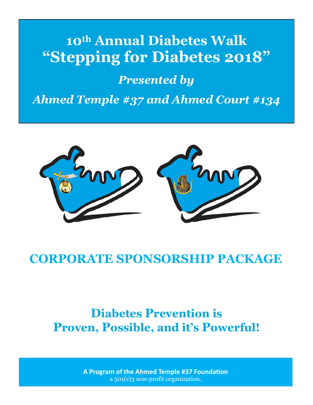# 10th Annual Diabetes Walk "Stepping for Diabetes 2018"

## **Presented by**

**Ahmed Temple #37 and Ahmed Court #134** 



## **CORPORATE SPONSORSHIP PACKAGE**

# **Diabetes Prevention is Proven, Possible, and it's Powerful!**

A Program of the Ahmed Temple #37 Foundation  $a_{501(c)}$  non-profit organization.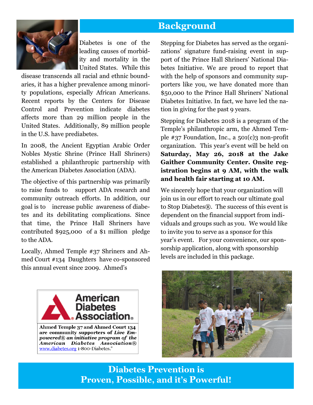## **Background**



Diabetes is one of the leading causes of morbidity and mortality in the United States. While this

disease transcends all racial and ethnic boundaries, it has a higher prevalence among minority populations, especially African Americans. Recent reports by the Centers for Disease Control and Prevention indicate diabetes affects more than 29 million people in the United States. Additionally, 89 million people in the U.S. have prediabetes.

In 2008, the Ancient Egyptian Arabic Order Nobles Mystic Shrine (Prince Hall Shriners) established a philanthropic partnership with the American Diabetes Association (ADA).

The objective of this partnership was primarily to raise funds to support ADA research and community outreach efforts. In addition, our goal is to increase public awareness of diabetes and its debilitating complications. Since that time, the Prince Hall Shriners have contributed \$925,000 of a \$1 million pledge to the ADA.

Locally, Ahmed Temple #37 Shriners and Ahmed Court #134 Daughters have co-sponsored this annual event since 2009. Ahmed's

Stepping for Diabetes has served as the organizations' signature fund-raising event in support of the Prince Hall Shriners' National Diabetes Initiative. We are proud to report that with the help of sponsors and community supporters like you, we have donated more than \$50,000 to the Prince Hall Shriners' National Diabetes Initiative. In fact, we have led the nation in giving for the past 9 years.

Stepping for Diabetes 2018 is a program of the Temple's philanthropic arm, the Ahmed Temple  $\#37$  Foundation, Inc., a  $501(c)3$  non-profit organization. This year's event will be held on **Saturday, May 26, 2018 at the Jake Gaither Community Center. Onsite registration begins at 9 AM, with the walk and health fair starting at 10 AM.**

We sincerely hope that your organization will join us in our effort to reach our ultimate goal to Stop Diabetes®.The success of this event is dependent on the financial support from individuals and groups such as you. We would like to invite you to serve as a sponsor for this year's event. For your convenience, our sponsorship application, along with sponsorship levels are included in this package.





**Diabetes Prevention is Proven, Possible, and it's Powerful!**